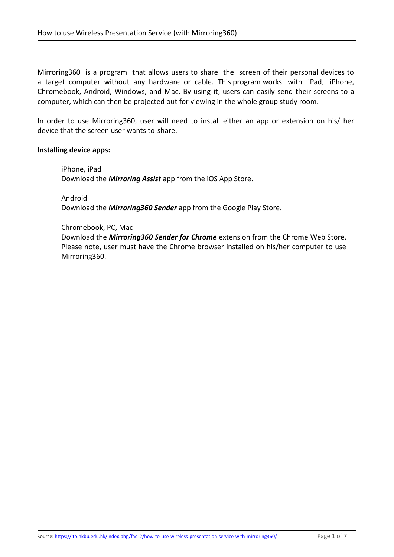Mirroring360 is a program that allows users to share the screen of their personal devices to a target computer without any hardware or cable. This program works with iPad, iPhone, Chromebook, Android, Windows, and Mac. By using it, users can easily send their screens to a computer, which can then be projected out for viewing in the whole group study room.

In order to use Mirroring360, user will need to install either an app or extension on his/ her device that the screen user wants to share.

### **Installing device apps:**

#### iPhone, iPad

Download the *Mirroring Assist* app from the iOS App Store.

# Android

Download the *Mirroring360 Sender* app from the Google Play Store.

### Chromebook, PC, Mac

Download the *Mirroring360 Sender for Chrome* extension from the Chrome Web Store. Please note, user must have the Chrome browser installed on his/her computer to use Mirroring360.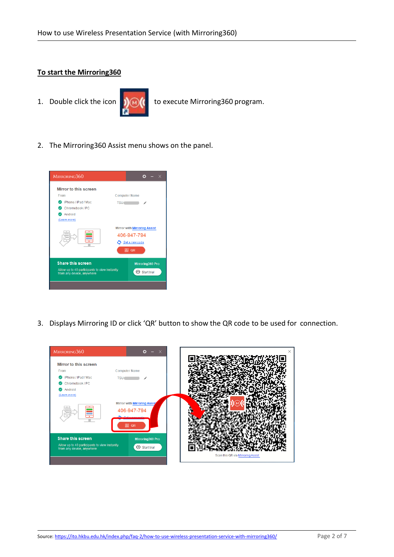## **To start the Mirroring360**



1. Double click the icon  $\int_{\mathbb{R}} |f(x)|^2 dx$  to execute Mirroring 360 program.

2. The Mirroring360 Assist menu shows on the panel.



3. Displays Mirroring ID or click 'QR' button to show the QR code to be used for connection.

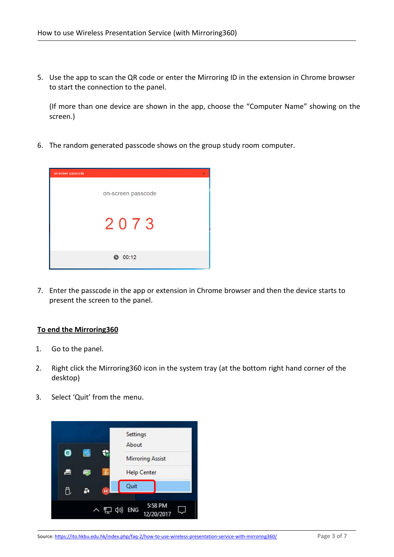5. Use the app to scan the QR code or enter the Mirroring ID in the extension in Chrome browser to start the connection to the panel.

(If more than one device are shown in the app, choose the "Computer Name" showing on the screen.)

6. The random generated passcode shows on the group study room computer.



7. Enter the passcode in the app or extension in Chrome browser and then the device starts to present the screen to the panel.

# **To end the Mirroring360**

- 1. Go to the panel.
- 2. Right click the Mirroring360 icon in the system tray (at the bottom right hand corner of the desktop)
- 3. Select 'Quit' from the menu.

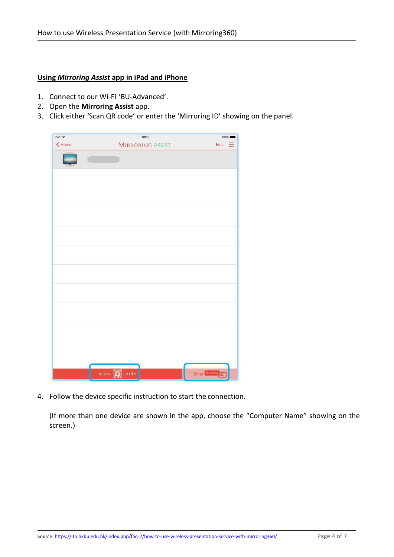## **Using** *Mirroring Assist* **app in iPad and iPhone**

- 1. Connect to our Wi-Fi 'BU-Advanced'.
- 2. Open the **Mirroring Assist** app.
- 3. Click either 'Scan QR code' or enter the 'Mirroring ID' showing on the panel.

| $ipad \approx$        | 18:15                   |                 | 100% |  |
|-----------------------|-------------------------|-----------------|------|--|
| $\blacktriangle$ Home | <b>MIRRORING ASSIST</b> |                 | Edit |  |
|                       | $\mathbb{C}$            |                 |      |  |
|                       |                         |                 |      |  |
|                       |                         |                 |      |  |
|                       |                         |                 |      |  |
|                       |                         |                 |      |  |
|                       |                         |                 |      |  |
|                       |                         |                 |      |  |
|                       |                         |                 |      |  |
|                       |                         |                 |      |  |
|                       |                         |                 |      |  |
|                       |                         |                 |      |  |
|                       |                         |                 |      |  |
|                       | Scan <b>De</b> code     | Enter Mirroring |      |  |

4. Follow the device specific instruction to start the connection.

(If more than one device are shown in the app, choose the "Computer Name" showing on the screen.)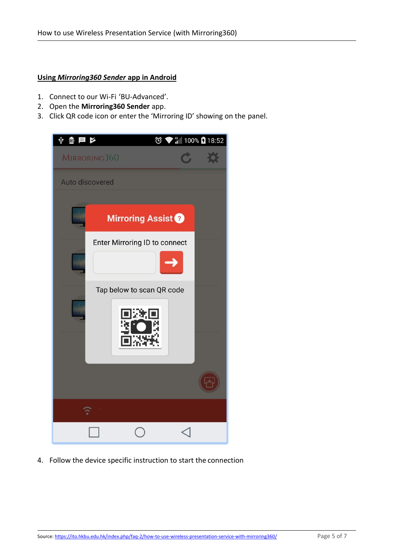# **Using** *Mirroring360 Sender* **app in Android**

- 1. Connect to our Wi-Fi 'BU-Advanced'.
- 2. Open the **Mirroring360 Sender** app.
- 3. Click QR code icon or enter the 'Mirroring ID' showing on the panel.



4. Follow the device specific instruction to start the connection